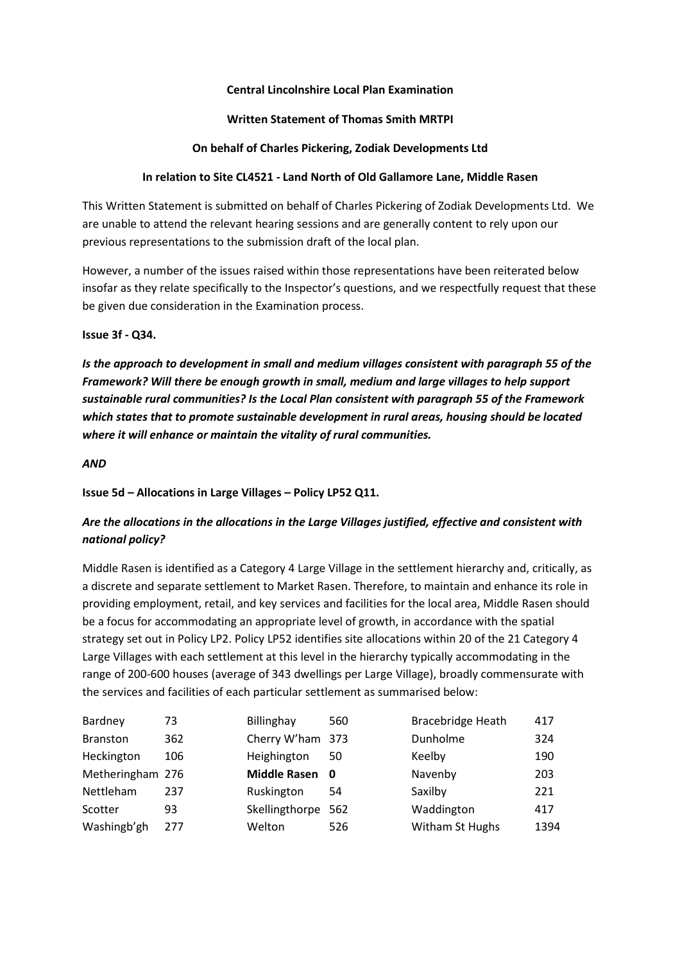## **Central Lincolnshire Local Plan Examination**

### **Written Statement of Thomas Smith MRTPI**

## **On behalf of Charles Pickering, Zodiak Developments Ltd**

## **In relation to Site CL4521 - Land North of Old Gallamore Lane, Middle Rasen**

This Written Statement is submitted on behalf of Charles Pickering of Zodiak Developments Ltd. We are unable to attend the relevant hearing sessions and are generally content to rely upon our previous representations to the submission draft of the local plan.

However, a number of the issues raised within those representations have been reiterated below insofar as they relate specifically to the Inspector's questions, and we respectfully request that these be given due consideration in the Examination process.

## **Issue 3f - Q34.**

*Is the approach to development in small and medium villages consistent with paragraph 55 of the Framework? Will there be enough growth in small, medium and large villages to help support sustainable rural communities? Is the Local Plan consistent with paragraph 55 of the Framework which states that to promote sustainable development in rural areas, housing should be located where it will enhance or maintain the vitality of rural communities.* 

## *AND*

## **Issue 5d – Allocations in Large Villages – Policy LP52 Q11.**

# *Are the allocations in the allocations in the Large Villages justified, effective and consistent with national policy?*

Middle Rasen is identified as a Category 4 Large Village in the settlement hierarchy and, critically, as a discrete and separate settlement to Market Rasen. Therefore, to maintain and enhance its role in providing employment, retail, and key services and facilities for the local area, Middle Rasen should be a focus for accommodating an appropriate level of growth, in accordance with the spatial strategy set out in Policy LP2. Policy LP52 identifies site allocations within 20 of the 21 Category 4 Large Villages with each settlement at this level in the hierarchy typically accommodating in the range of 200-600 houses (average of 343 dwellings per Large Village), broadly commensurate with the services and facilities of each particular settlement as summarised below:

| Bardney          | 73  | Billinghay         | 560 | <b>Bracebridge Heath</b> | 417  |
|------------------|-----|--------------------|-----|--------------------------|------|
| <b>Branston</b>  | 362 | Cherry W'ham 373   |     | Dunholme                 | 324  |
| Heckington       | 106 | Heighington        | 50  | Keelby                   | 190  |
| Metheringham 276 |     | Middle Rasen 0     |     | Navenby                  | 203  |
| Nettleham        | 237 | Ruskington         | 54  | Saxilby                  | 221  |
| Scotter          | 93  | Skellingthorpe 562 |     | Waddington               | 417  |
| Washingb'gh      | 277 | Welton             | 526 | Witham St Hughs          | 1394 |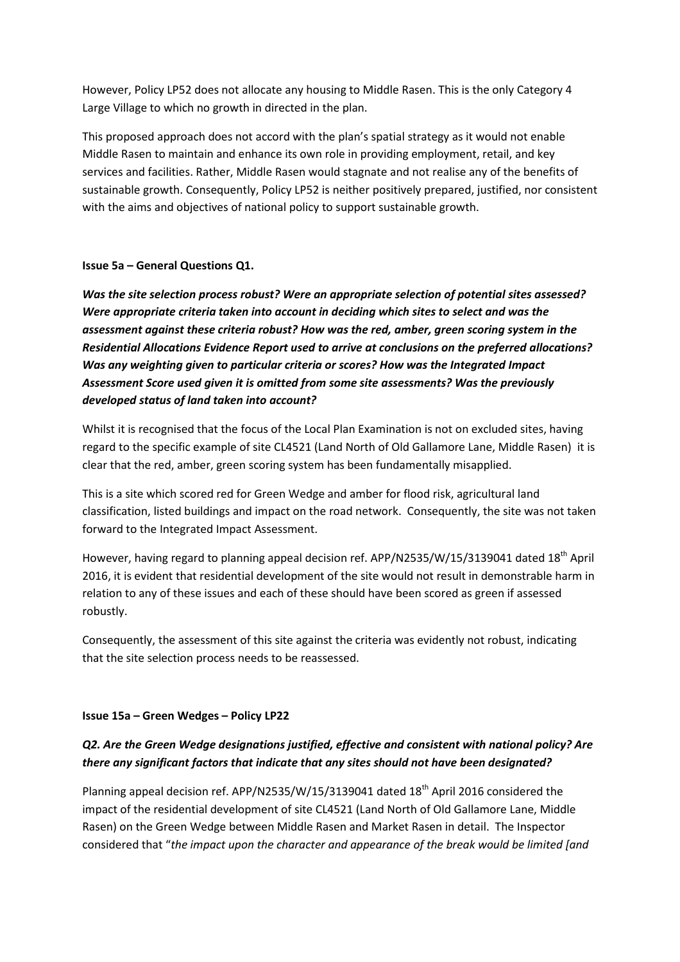However, Policy LP52 does not allocate any housing to Middle Rasen. This is the only Category 4 Large Village to which no growth in directed in the plan.

This proposed approach does not accord with the plan's spatial strategy as it would not enable Middle Rasen to maintain and enhance its own role in providing employment, retail, and key services and facilities. Rather, Middle Rasen would stagnate and not realise any of the benefits of sustainable growth. Consequently, Policy LP52 is neither positively prepared, justified, nor consistent with the aims and objectives of national policy to support sustainable growth.

## **Issue 5a – General Questions Q1.**

*Was the site selection process robust? Were an appropriate selection of potential sites assessed? Were appropriate criteria taken into account in deciding which sites to select and was the assessment against these criteria robust? How was the red, amber, green scoring system in the Residential Allocations Evidence Report used to arrive at conclusions on the preferred allocations? Was any weighting given to particular criteria or scores? How was the Integrated Impact Assessment Score used given it is omitted from some site assessments? Was the previously developed status of land taken into account?* 

Whilst it is recognised that the focus of the Local Plan Examination is not on excluded sites, having regard to the specific example of site CL4521 (Land North of Old Gallamore Lane, Middle Rasen) it is clear that the red, amber, green scoring system has been fundamentally misapplied.

This is a site which scored red for Green Wedge and amber for flood risk, agricultural land classification, listed buildings and impact on the road network. Consequently, the site was not taken forward to the Integrated Impact Assessment.

However, having regard to planning appeal decision ref. APP/N2535/W/15/3139041 dated 18<sup>th</sup> April 2016, it is evident that residential development of the site would not result in demonstrable harm in relation to any of these issues and each of these should have been scored as green if assessed robustly.

Consequently, the assessment of this site against the criteria was evidently not robust, indicating that the site selection process needs to be reassessed.

#### **Issue 15a – Green Wedges – Policy LP22**

## *Q2. Are the Green Wedge designations justified, effective and consistent with national policy? Are there any significant factors that indicate that any sites should not have been designated?*

Planning appeal decision ref. APP/N2535/W/15/3139041 dated 18<sup>th</sup> April 2016 considered the impact of the residential development of site CL4521 (Land North of Old Gallamore Lane, Middle Rasen) on the Green Wedge between Middle Rasen and Market Rasen in detail. The Inspector considered that "*the impact upon the character and appearance of the break would be limited [and*